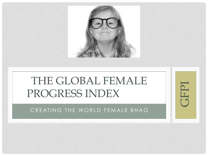

GFPI

# THE GLOBAL FEMALE PROGRESS INDEX

CREATING THE WORLD FEMALE BHAG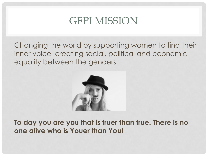## GFPI MISSION

Changing the world by supporting women to find their inner voice creating social, political and economic equality between the genders



**To day you are you that is truer than true. There is no one alive who is Youer than You!**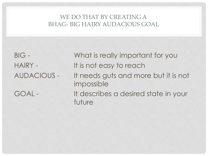#### WE DO THAT BY CREATING A BHAG- BIG HAIRY AUDACIOUS GOAL

BIG - What is really important for you HAIRY - It is not easy to reach AUDACIOUS - It needs guts and more but it is not impossible GOAL - It describes a desired state in your future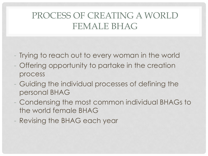### PROCESS OF CREATING A WORLD FEMALE BHAG

- Trying to reach out to every woman in the world
- Offering opportunity to partake in the creation process
- Guiding the individual processes of defining the personal BHAG
- Condensing the most common individual BHAGs to the world female BHAG
- Revising the BHAG each year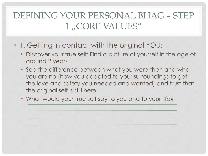### DEFINING YOUR PERSONAL BHAG – STEP 1, CORE VALUES"

- 1. Getting in contact with the original YOU:
	- Discover your true self: Find a picture of yourself in the age of around 2 years
	- See the difference between what you were then and who you are no (how you adapted to your surroundings to get the love and safety you needed and wanted) and trust that the original self is still here.
	- What would your true self say to you and to your life?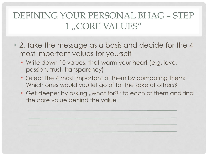### DEFINING YOUR PERSONAL BHAG – STEP 1, CORE VALUES"

- 2. Take the message as a basis and decide for the 4 most important values for yourself
	- Write down 10 values, that warm your heart (e.g. love, passion, trust, transparency)
	- Select the 4 most important of them by comparing them: Which ones would you let go of for the sake of others?
	- Get deeper by asking "what for?" to each of them and find the core value behind the value.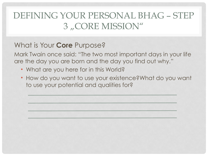### DEFINING YOUR PERSONAL BHAG – STEP 3, CORE MISSION"

#### What is Your **Core** Purpose?

Mark Twain once said: "The two most important days in your life are the day you are born and the day you find out why."

- What are you here for in this World?
- How do you want to use your existence?What do you want to use your potential and qualities for?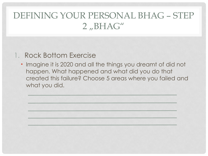#### 1. Rock Bottom Exercise

• Imagine it is 2020 and all the things you dreamt of did not happen. What happened and what did you do that created this failure? Choose 5 areas where you failed and what you did.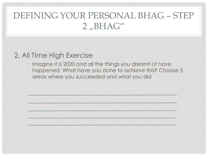#### 2. All Time High Exercise

Imagine it is 2020 and all the things you dreamt of have happened. What have you done to achieve this? Choose 5 areas where you succeeded and what you did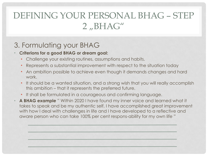#### 3. Formulating your BHAG

#### • **Criterions for a good BHAG or dream goal:**

- Challenge your existing routines, assumptions and habits.
- Represents a substantial improvement with respect to the situation today
- An ambition possible to achieve even though it demands changes and hard work.
- It should be a wanted situation, and a strong wish that you will really accomplish this ambition – that it represents the preferred future.
- It shall be formulated in a courageous and confirming language.
- **A BHAG example** " Within 2020 I have found my inner voice and learned what it takes to speak and be my authentic self. I have accomplished great improvement with how I deal with challenges in life and I have developed to a reflective and aware person who can take 100% per cent respons-ability for my own life "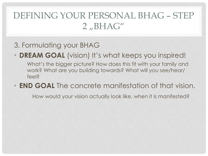#### 3. Formulating your BHAG

**DREAM GOAL** (vision) It's what keeps you inspired!

What's the bigger picture? How does this fit with your family and work? What are you building towards? What will you see/hear/ feel?

• **END GOAL** The concrete manifestation of that vision.

How would your vision actually look like, when it is manifested?